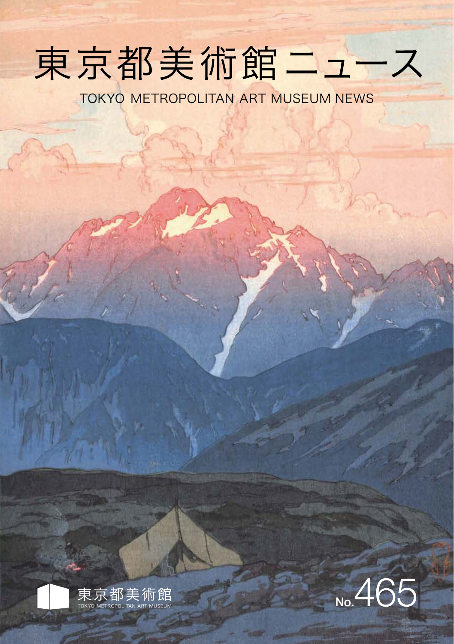# 東京都美術館ニュース

TOKYO METROPOLITAN ART MUSEUM NEWS



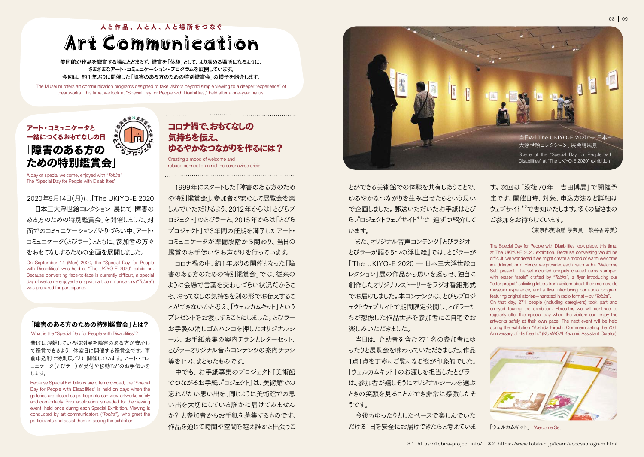## 人と作品、人と人、人と場所をつなぐ **Art Communication**

美術館が作品を鑑賞する場にとどまらず、鑑賞を「体験」として、より深める場所になるように、 さまざまなアート・コミュニケーション・プログラムを展開しています。 今回は、約1年ぶりに開催した「障害のある方のための特別鑑賞会」の様子を紹介します。

The Museum offers art communication programs designed to take visitors beyond simple viewing to a deeper "experience" of theartworks. This time, we look at "Special Day for People with Disabilities," held after a one-year hiatus.



A day of special welcome, enjoyed with "*Tobira*" The "Special Day for People with Disabilities"

2020年9月14日(月)に、「The UKIYO-E 2020 ─ 日本三大浮世絵コレクション」展にて「障害の ある方のための特別鑑賞会」を開催しました。対 面でのコミュニケーションがとりづらい中、アート・ コミュニケータ(とびラー)とともに、参加者の方々 をおもてなしするための企画を展開しました。

On September 14 (Mon) 2020, the "Special Day for People with Disabilities" was held at "The UKIYO-E 2020" exhibition. Because conversing face-to-face is currently difficult, a special day of welcome enjoyed along with art communicators ("*Tobira*") was prepared for participants.

### 「障害のある方のための特別鑑賞会」とは?

What is the "Special Day for People with Disabilities"?

普段は混雑している特別展を障害のある方が安心し て鑑賞できるよう、休室日に開催する鑑賞会です。事 前申込制で特別展ごとに開催しています。アート・コミ ュニケータ(とびラー)が受付や移動などのお手伝いを します。

Because Special Exhibitions are often crowded, the "Special Day for People with Disabilities" is held on days when the galleries are closed so participants can view artworks safely and comfortably. Prior application is needed for the viewing event, held once during each Special Exhibition. Viewing is conducted by art communicators ("*Tobira*"), who greet the participants and assist them in seeing the exhibition.

## コロナ禍で、おもてなしの 気持ちを伝え、 ゆるやかなつながりを作るには?

Creating a mood of welcome and relaxed connection amid the coronavirus crisis

 1999年にスタートした「障害のある方のため の特別鑑賞会し参加者が安心して展覧会を楽 しんでいただけるよう、2012年からは「とびらプ ロジェクト」のとびラーと、2015年からは「とびら プロジェクト」で3年間の任期を満了したアート・ コミュニケータが準備段階から関わり、当日の 鑑賞のお手伝いやお声がけを行っています。 コロナ禍の中、約1年ぶりの開催となった「障 害のある方のための特別鑑賞会」では、従来の ように会場で言葉を交わしづらい状況だからこ そ、おもてなしの気持ちを別の形でお伝えするこ とができないかと考え、「ウェルカムキット」という プレゼントをお渡しすることにしました。とびラー お手製の消しゴムハンコを押したオリジナルシ ール、お手紙募集の案内チラシとレターセット、 とびラーオリジナル音声コンテンツの案内チラシ 等を1つにまとめたものです。

 中でも、お手紙募集のプロジェクト『美術館 でつながるお手紙プロジェクト』は、美術館での 忘れがたい思い出を、同じように美術館での思 い出を大切にしている誰かに届けてみません か? と参加者からお手紙を募集するものです。 作品を通じて時間や空間を越え誰かと出会うこ



とができる美術館での体験を共有しあうことで、 ゆるやかなつながりを生み出せたらという思い で企画しました。郵送いただいたお手紙はとび らプロジェクトウェブサイト\*1で1通ずつ紹介して います。

 また、オリジナル音声コンテンツ『とびラジオ とびラーが語る5つの浮世絵』では、とびラーが 「The UKIYO-E 2020 ─ 日本三大浮世絵コ レクション」展の作品から思いを巡らせ、独自に 創作したオリジナルストーリーをラジオ番組形式 でお届けしました。本コンテンツは、とびらプロジ ェクトウェブサイトで期間限定公開し、とびラーた ちが想像した作品世界を参加者にご自宅でお 楽しみいただきました。

 当日は、介助者を含む271名の参加者にゆ ったりと展覧会を味わっていただきました。作品 1点1点を丁寧にご覧になる姿が印象的でした。 「ウェルカムキット」のお渡しを担当したとびラー は、参加者が嬉しそうにオリジナルシールを選ぶ ときの笑顔を見ることができ非常に感激したそ うです。

 今後もゆったりとしたペースで楽しんでいた だける1日を安全にお届けできたらと考えていま す。次回は「没後70年 吉田博展」で開催予 定です。開催日時、対象、申込方法など詳細は ウェブサイト\*2で告知いたします。多くの皆さまの ご参加をお待ちしています。

(東京都美術館 学芸員 熊谷香寿美)

The Special Day for People with Disabilities took place, this time, at The UKIYO-E 2020 exhibition. Because conversing would be diffcult, we wondered if we might create a mood of warm welcome in a different form. Hence, we provided each visitor with a "Welcome Set" present. The set included uniquely created items stamped with eraser "seals" crafted by "*Tobira*", a fiver introducing our "letter project" soliciting letters from visitors about their memorable museum experience, and a fyer introducing our audio program featuring original stories—narrated in radio format—by "*Tobira*". On that day, 271 people (including caregivers) took part and enjoyed touring the exhibition. Hereafter, we will continue to regularly offer this special day when the visitors can enjoy the artworks safely at their own pace. The next event will be held during the exhibition "Yoshida Hiroshi: Commemorating the 70th Anniversary of His Death." (KUMAGAI Kazumi, Assistant Curator)



「ウェルカムキット」 Welcome Set